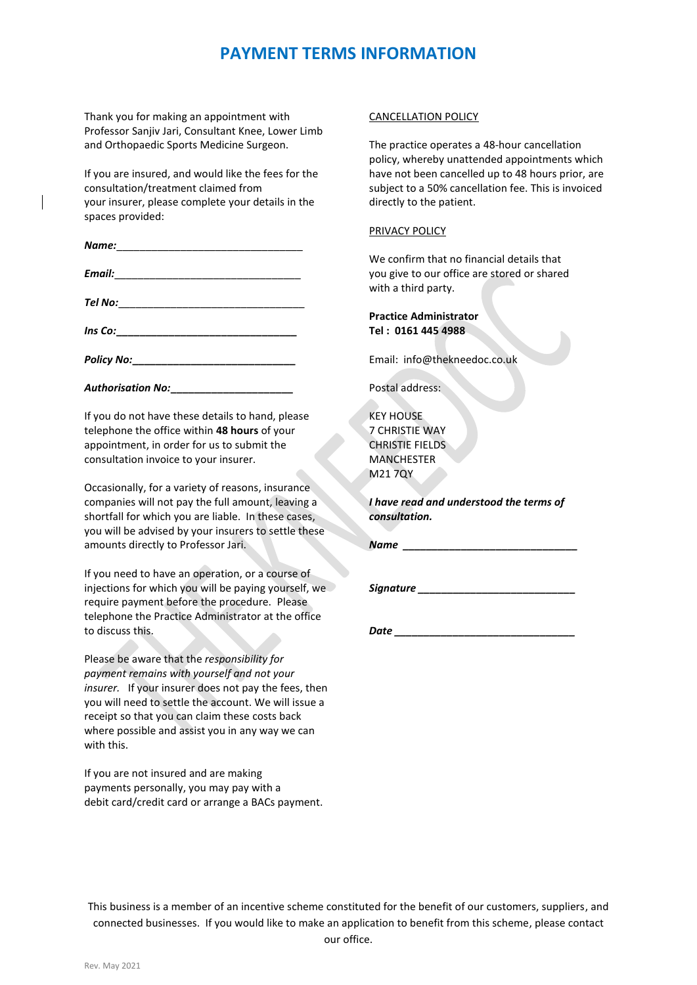# **PAYMENT TERMS INFORMATION**

Thank you for making an appointment with Professor Sanjiv Jari, Consultant Knee, Lower Limb and Orthopaedic Sports Medicine Surgeon.

If you are insured, and would like the fees for the consultation/treatment claimed from your insurer, please complete your details in the spaces provided:

| Name: _________________        |                                                                                                                      |  |  |
|--------------------------------|----------------------------------------------------------------------------------------------------------------------|--|--|
| Email:                         | <u> 2000 - 2000 - 2000 - 2000 - 2000 - 2000 - 2000 - 2000 - 2000 - 2000 - 2000 - 2000 - 2000 - 2000 - 2000 - 200</u> |  |  |
| Tel No: ______________________ |                                                                                                                      |  |  |
| Ins Co:                        |                                                                                                                      |  |  |

*Policy No:***\_\_\_\_\_\_\_\_\_\_\_\_\_\_\_\_\_\_\_\_\_\_\_\_\_\_\_\_**

*Authorisation No:***\_\_\_\_\_\_\_\_\_\_\_\_\_\_\_\_\_\_\_\_\_**

If you do not have these details to hand, please telephone the office within **48 hours** of your appointment, in order for us to submit the consultation invoice to your insurer.

Occasionally, for a variety of reasons, insurance companies will not pay the full amount, leaving a shortfall for which you are liable. In these cases, you will be advised by your insurers to settle these amounts directly to Professor Jari.

If you need to have an operation, or a course of injections for which you will be paying yourself, we require payment before the procedure. Please telephone the Practice Administrator at the office to discuss this.

Please be aware that the *responsibility for payment remains with yourself and not your insurer.* If your insurer does not pay the fees, then you will need to settle the account. We will issue a receipt so that you can claim these costs back where possible and assist you in any way we can with this.

If you are not insured and are making payments personally, you may pay with a debit card/credit card or arrange a BACs payment.

## CANCELLATION POLICY

The practice operates a 48-hour cancellation policy, whereby unattended appointments which have not been cancelled up to 48 hours prior, are subject to a 50% cancellation fee. This is invoiced directly to the patient.

## PRIVACY POLICY

We confirm that no financial details that you give to our office are stored or shared with a third party.

## **Practice Administrator Tel : 0161 445 4988**

Email: info@thekneedoc.co.uk

Postal address:

KEY HOUSE 7 CHRISTIE WAY CHRISTIE FIELDS MANCHESTER M21 7QY

*I have read and understood the terms of consultation.*

*Name \_\_\_\_\_\_\_\_\_\_\_\_\_\_\_\_\_\_\_\_\_\_\_\_\_\_\_\_\_\_*

*Signature \_\_\_\_\_\_\_\_\_\_\_\_\_\_\_\_\_\_\_\_\_\_\_\_\_\_\_*

*Date \_\_\_\_\_\_\_\_\_\_\_\_\_\_\_\_\_\_\_\_\_\_\_\_\_\_\_\_\_\_\_*

This business is a member of an incentive scheme constituted for the benefit of our customers, suppliers, and connected businesses. If you would like to make an application to benefit from this scheme, please contact our office.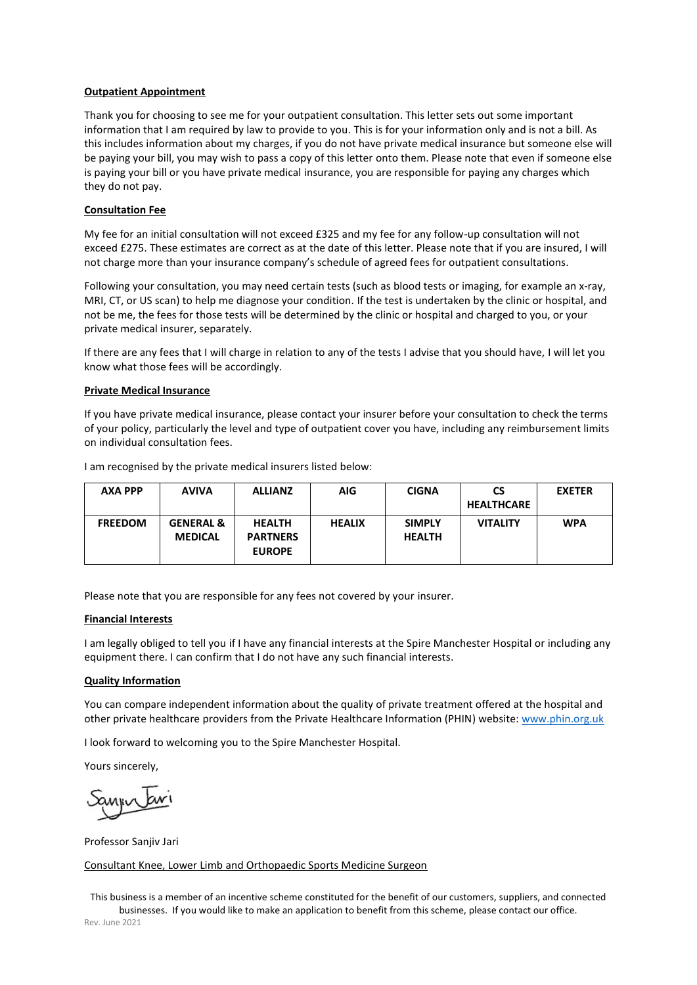### **Outpatient Appointment**

Thank you for choosing to see me for your outpatient consultation. This letter sets out some important information that I am required by law to provide to you. This is for your information only and is not a bill. As this includes information about my charges, if you do not have private medical insurance but someone else will be paying your bill, you may wish to pass a copy of this letter onto them. Please note that even if someone else is paying your bill or you have private medical insurance, you are responsible for paying any charges which they do not pay.

### **Consultation Fee**

My fee for an initial consultation will not exceed £325 and my fee for any follow-up consultation will not exceed £275. These estimates are correct as at the date of this letter. Please note that if you are insured, I will not charge more than your insurance company's schedule of agreed fees for outpatient consultations.

Following your consultation, you may need certain tests (such as blood tests or imaging, for example an x-ray, MRI, CT, or US scan) to help me diagnose your condition. If the test is undertaken by the clinic or hospital, and not be me, the fees for those tests will be determined by the clinic or hospital and charged to you, or your private medical insurer, separately.

If there are any fees that I will charge in relation to any of the tests I advise that you should have, I will let you know what those fees will be accordingly.

#### **Private Medical Insurance**

If you have private medical insurance, please contact your insurer before your consultation to check the terms of your policy, particularly the level and type of outpatient cover you have, including any reimbursement limits on individual consultation fees.

| AXA PPP        | <b>AVIVA</b>                           | <b>ALLIANZ</b>                                    | AIG.          | <b>CIGNA</b>                   | <b>CS</b>         | <b>EXETER</b> |
|----------------|----------------------------------------|---------------------------------------------------|---------------|--------------------------------|-------------------|---------------|
|                |                                        |                                                   |               |                                | <b>HEALTHCARE</b> |               |
| <b>FREEDOM</b> | <b>GENERAL &amp;</b><br><b>MEDICAL</b> | <b>HEALTH</b><br><b>PARTNERS</b><br><b>EUROPE</b> | <b>HEALIX</b> | <b>SIMPLY</b><br><b>HEALTH</b> | <b>VITALITY</b>   | <b>WPA</b>    |

I am recognised by the private medical insurers listed below:

Please note that you are responsible for any fees not covered by your insurer.

#### **Financial Interests**

I am legally obliged to tell you if I have any financial interests at the Spire Manchester Hospital or including any equipment there. I can confirm that I do not have any such financial interests.

#### **Quality Information**

You can compare independent information about the quality of private treatment offered at the hospital and other private healthcare providers from the Private Healthcare Information (PHIN) website: [www.phin.org.uk](http://www.phin.org.uk/)

I look forward to welcoming you to the Spire Manchester Hospital.

Yours sincerely,

Professor Sanjiv Jari

#### Consultant Knee, Lower Limb and Orthopaedic Sports Medicine Surgeon

This business is a member of an incentive scheme constituted for the benefit of our customers, suppliers, and connected businesses. If you would like to make an application to benefit from this scheme, please contact our office. Rev. June 2021